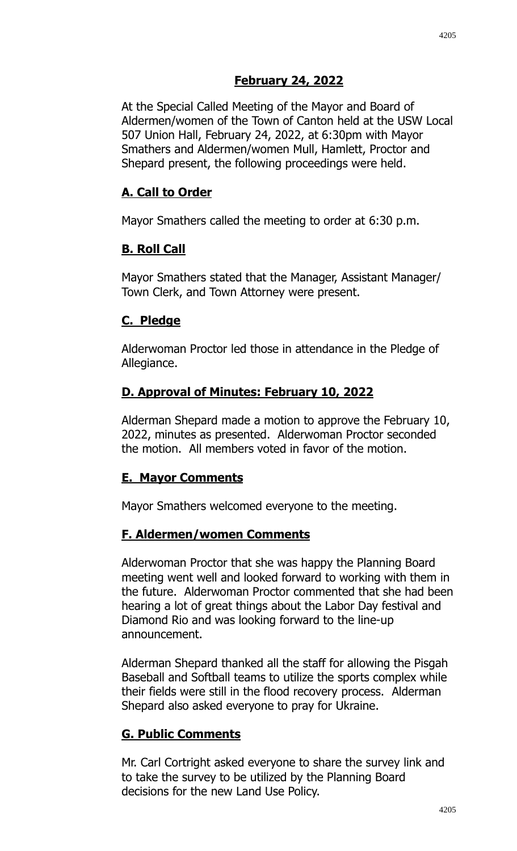## **February 24, 2022**

At the Special Called Meeting of the Mayor and Board of Aldermen/women of the Town of Canton held at the USW Local 507 Union Hall, February 24, 2022, at 6:30pm with Mayor Smathers and Aldermen/women Mull, Hamlett, Proctor and Shepard present, the following proceedings were held.

## **A. Call to Order**

Mayor Smathers called the meeting to order at 6:30 p.m.

## **B. Roll Call**

Mayor Smathers stated that the Manager, Assistant Manager/ Town Clerk, and Town Attorney were present.

## **C. Pledge**

Alderwoman Proctor led those in attendance in the Pledge of Allegiance.

# **D. Approval of Minutes: February 10, 2022**

Alderman Shepard made a motion to approve the February 10, 2022, minutes as presented. Alderwoman Proctor seconded the motion. All members voted in favor of the motion.

# **E. Mayor Comments**

Mayor Smathers welcomed everyone to the meeting.

## **F. Aldermen/women Comments**

Alderwoman Proctor that she was happy the Planning Board meeting went well and looked forward to working with them in the future. Alderwoman Proctor commented that she had been hearing a lot of great things about the Labor Day festival and Diamond Rio and was looking forward to the line-up announcement.

Alderman Shepard thanked all the staff for allowing the Pisgah Baseball and Softball teams to utilize the sports complex while their fields were still in the flood recovery process. Alderman Shepard also asked everyone to pray for Ukraine.

# **G. Public Comments**

Mr. Carl Cortright asked everyone to share the survey link and to take the survey to be utilized by the Planning Board decisions for the new Land Use Policy.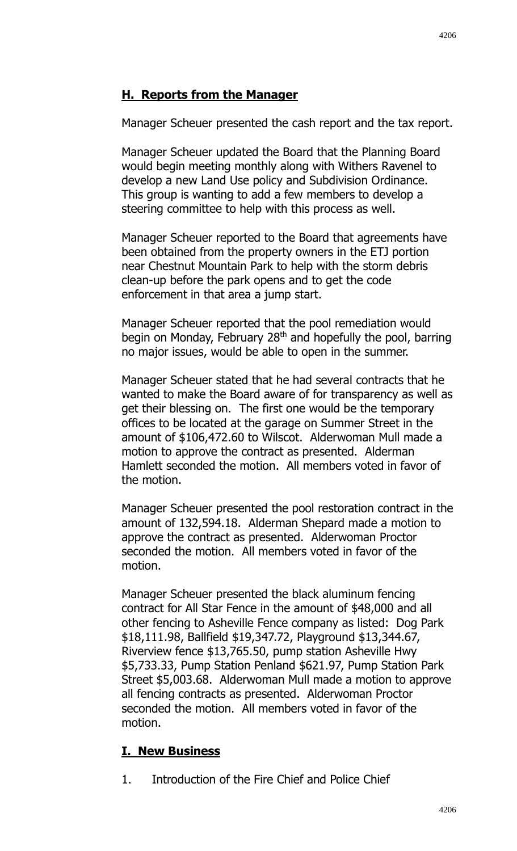#### **H. Reports from the Manager**

Manager Scheuer presented the cash report and the tax report.

Manager Scheuer updated the Board that the Planning Board would begin meeting monthly along with Withers Ravenel to develop a new Land Use policy and Subdivision Ordinance. This group is wanting to add a few members to develop a steering committee to help with this process as well.

Manager Scheuer reported to the Board that agreements have been obtained from the property owners in the ETJ portion near Chestnut Mountain Park to help with the storm debris clean-up before the park opens and to get the code enforcement in that area a jump start.

Manager Scheuer reported that the pool remediation would begin on Monday, February 28<sup>th</sup> and hopefully the pool, barring no major issues, would be able to open in the summer.

Manager Scheuer stated that he had several contracts that he wanted to make the Board aware of for transparency as well as get their blessing on. The first one would be the temporary offices to be located at the garage on Summer Street in the amount of \$106,472.60 to Wilscot. Alderwoman Mull made a motion to approve the contract as presented. Alderman Hamlett seconded the motion. All members voted in favor of the motion.

Manager Scheuer presented the pool restoration contract in the amount of 132,594.18. Alderman Shepard made a motion to approve the contract as presented. Alderwoman Proctor seconded the motion. All members voted in favor of the motion.

Manager Scheuer presented the black aluminum fencing contract for All Star Fence in the amount of \$48,000 and all other fencing to Asheville Fence company as listed: Dog Park \$18,111.98, Ballfield \$19,347.72, Playground \$13,344.67, Riverview fence \$13,765.50, pump station Asheville Hwy \$5,733.33, Pump Station Penland \$621.97, Pump Station Park Street \$5,003.68. Alderwoman Mull made a motion to approve all fencing contracts as presented. Alderwoman Proctor seconded the motion. All members voted in favor of the motion.

#### **I. New Business**

1. Introduction of the Fire Chief and Police Chief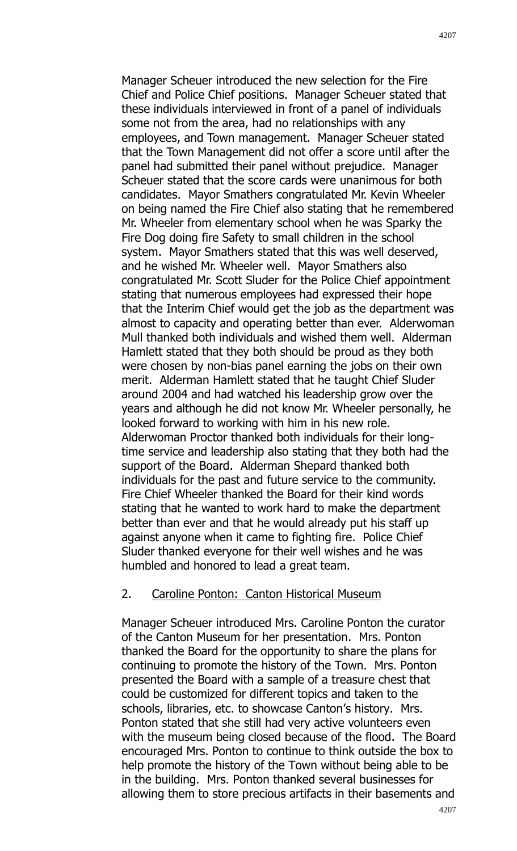Manager Scheuer introduced the new selection for the Fire Chief and Police Chief positions. Manager Scheuer stated that these individuals interviewed in front of a panel of individuals some not from the area, had no relationships with any employees, and Town management. Manager Scheuer stated that the Town Management did not offer a score until after the panel had submitted their panel without prejudice. Manager Scheuer stated that the score cards were unanimous for both candidates. Mayor Smathers congratulated Mr. Kevin Wheeler on being named the Fire Chief also stating that he remembered Mr. Wheeler from elementary school when he was Sparky the Fire Dog doing fire Safety to small children in the school system. Mayor Smathers stated that this was well deserved, and he wished Mr. Wheeler well. Mayor Smathers also congratulated Mr. Scott Sluder for the Police Chief appointment stating that numerous employees had expressed their hope that the Interim Chief would get the job as the department was almost to capacity and operating better than ever. Alderwoman Mull thanked both individuals and wished them well. Alderman Hamlett stated that they both should be proud as they both were chosen by non-bias panel earning the jobs on their own merit. Alderman Hamlett stated that he taught Chief Sluder around 2004 and had watched his leadership grow over the years and although he did not know Mr. Wheeler personally, he looked forward to working with him in his new role.

Alderwoman Proctor thanked both individuals for their longtime service and leadership also stating that they both had the support of the Board. Alderman Shepard thanked both individuals for the past and future service to the community. Fire Chief Wheeler thanked the Board for their kind words stating that he wanted to work hard to make the department better than ever and that he would already put his staff up against anyone when it came to fighting fire. Police Chief Sluder thanked everyone for their well wishes and he was humbled and honored to lead a great team.

## 2. Caroline Ponton: Canton Historical Museum

Manager Scheuer introduced Mrs. Caroline Ponton the curator of the Canton Museum for her presentation. Mrs. Ponton thanked the Board for the opportunity to share the plans for continuing to promote the history of the Town. Mrs. Ponton presented the Board with a sample of a treasure chest that could be customized for different topics and taken to the schools, libraries, etc. to showcase Canton's history. Mrs. Ponton stated that she still had very active volunteers even with the museum being closed because of the flood. The Board encouraged Mrs. Ponton to continue to think outside the box to help promote the history of the Town without being able to be in the building. Mrs. Ponton thanked several businesses for allowing them to store precious artifacts in their basements and